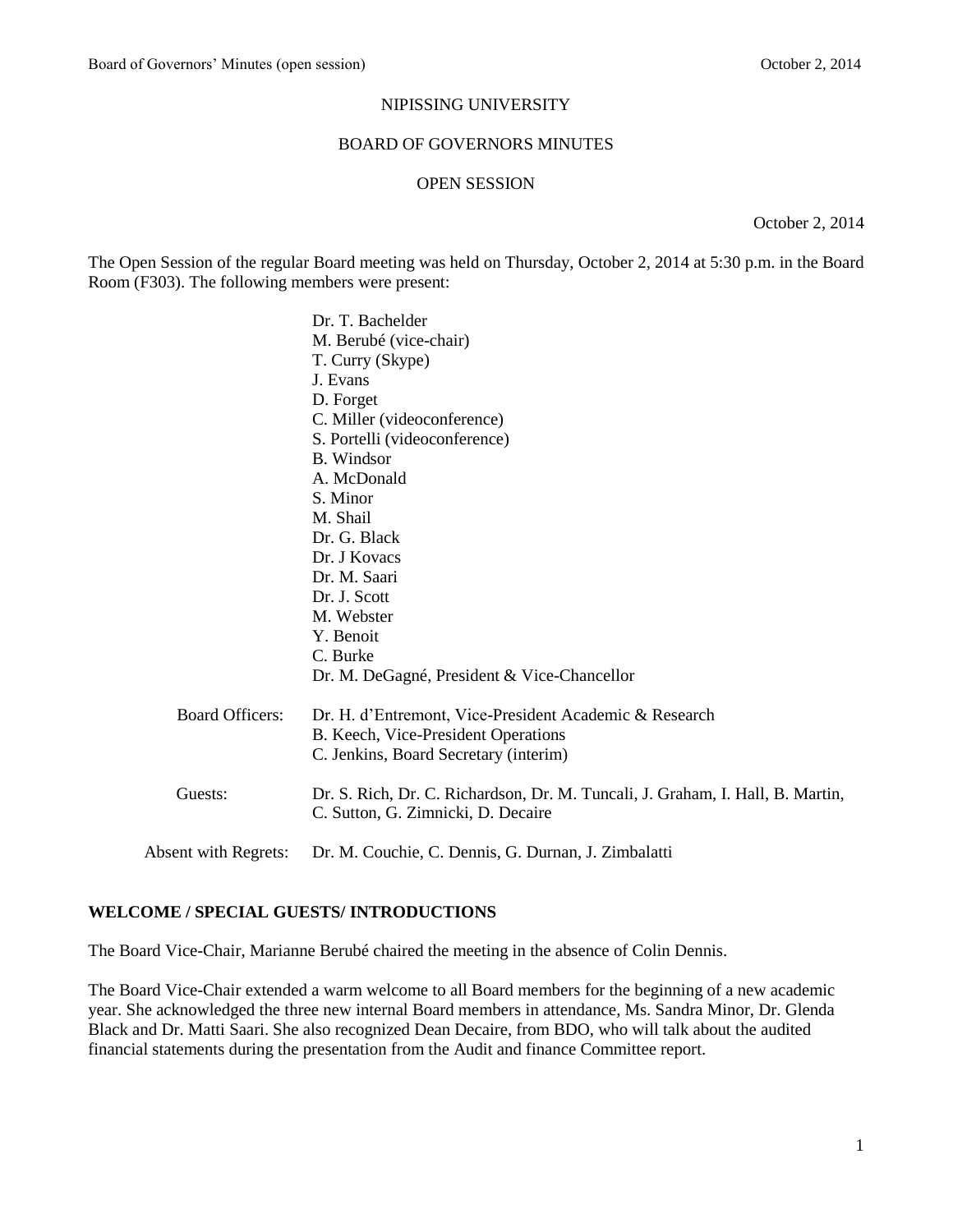#### NIPISSING UNIVERSITY

#### BOARD OF GOVERNORS MINUTES

#### OPEN SESSION

October 2, 2014

The Open Session of the regular Board meeting was held on Thursday, October 2, 2014 at 5:30 p.m. in the Board Room (F303). The following members were present:

|                        | Dr. T. Bachelder                                                               |
|------------------------|--------------------------------------------------------------------------------|
|                        | M. Berubé (vice-chair)                                                         |
|                        | T. Curry (Skype)                                                               |
|                        | J. Evans                                                                       |
|                        | D. Forget                                                                      |
|                        | C. Miller (videoconference)                                                    |
|                        | S. Portelli (videoconference)                                                  |
|                        | <b>B.</b> Windsor                                                              |
|                        | A. McDonald                                                                    |
|                        | S. Minor                                                                       |
|                        | M. Shail                                                                       |
|                        | Dr. G. Black                                                                   |
|                        | Dr. J Kovacs                                                                   |
|                        | Dr. M. Saari                                                                   |
|                        | Dr. J. Scott                                                                   |
|                        | M. Webster                                                                     |
|                        | Y. Benoit                                                                      |
|                        | C. Burke                                                                       |
|                        | Dr. M. DeGagné, President & Vice-Chancellor                                    |
| <b>Board Officers:</b> | Dr. H. d'Entremont, Vice-President Academic & Research                         |
|                        | B. Keech, Vice-President Operations                                            |
|                        | C. Jenkins, Board Secretary (interim)                                          |
| Guests:                | Dr. S. Rich, Dr. C. Richardson, Dr. M. Tuncali, J. Graham, I. Hall, B. Martin, |
|                        | C. Sutton, G. Zimnicki, D. Decaire                                             |
| Absent with Regrets:   | Dr. M. Couchie, C. Dennis, G. Durnan, J. Zimbalatti                            |
|                        |                                                                                |

## **WELCOME / SPECIAL GUESTS/ INTRODUCTIONS**

The Board Vice-Chair, Marianne Berubé chaired the meeting in the absence of Colin Dennis.

The Board Vice-Chair extended a warm welcome to all Board members for the beginning of a new academic year. She acknowledged the three new internal Board members in attendance, Ms. Sandra Minor, Dr. Glenda Black and Dr. Matti Saari. She also recognized Dean Decaire, from BDO, who will talk about the audited financial statements during the presentation from the Audit and finance Committee report.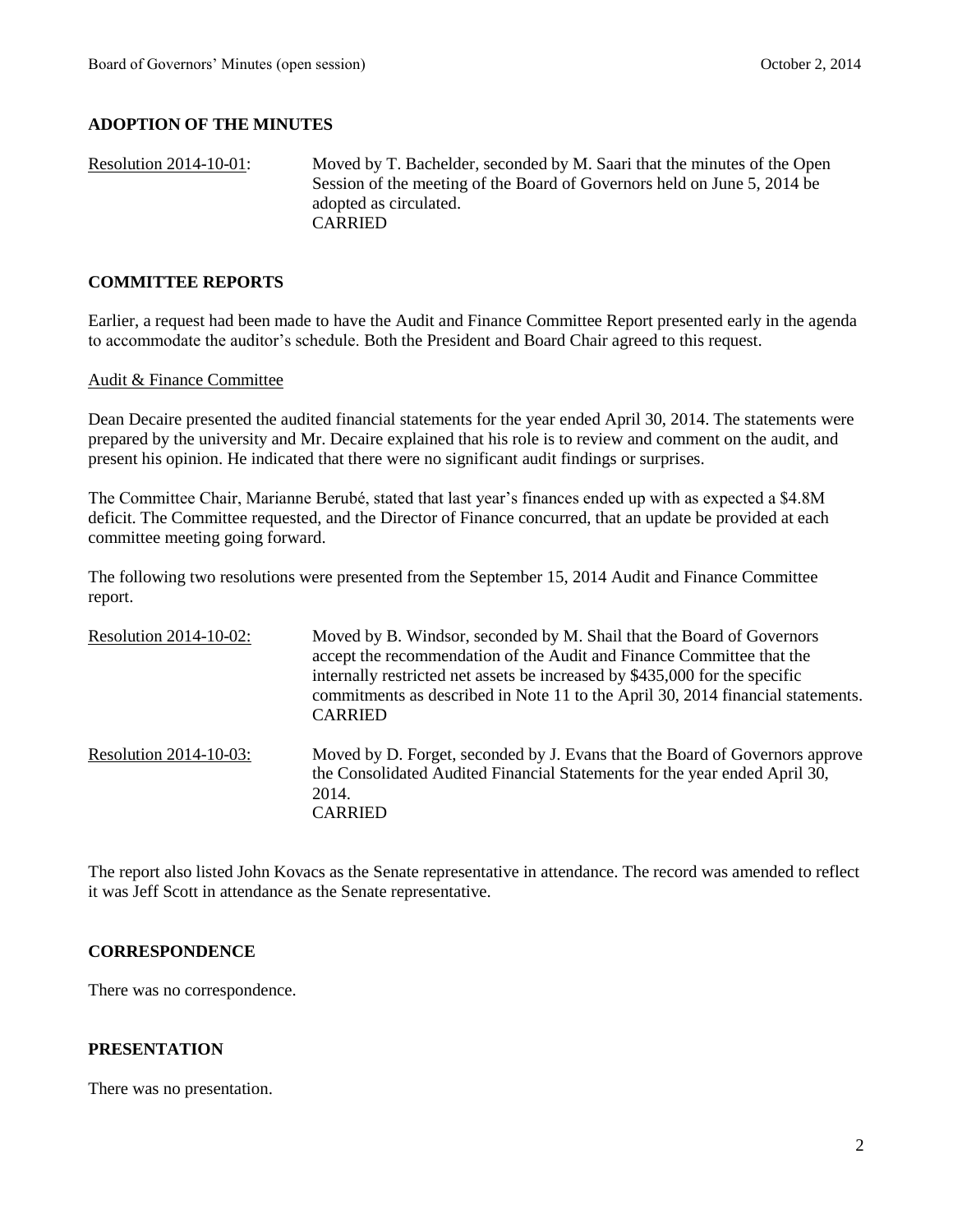# **ADOPTION OF THE MINUTES**

```
Resolution 2014-10-01: Moved by T. Bachelder, seconded by M. Saari that the minutes of the Open 
                  Session of the meeting of the Board of Governors held on June 5, 2014 be 
                  adopted as circulated.
                  CARRIED
```
## **COMMITTEE REPORTS**

Earlier, a request had been made to have the Audit and Finance Committee Report presented early in the agenda to accommodate the auditor's schedule. Both the President and Board Chair agreed to this request.

### Audit & Finance Committee

Dean Decaire presented the audited financial statements for the year ended April 30, 2014. The statements were prepared by the university and Mr. Decaire explained that his role is to review and comment on the audit, and present his opinion. He indicated that there were no significant audit findings or surprises.

The Committee Chair, Marianne Berubé, stated that last year's finances ended up with as expected a \$4.8M deficit. The Committee requested, and the Director of Finance concurred, that an update be provided at each committee meeting going forward.

The following two resolutions were presented from the September 15, 2014 Audit and Finance Committee report.

| Resolution 2014-10-02: | Moved by B. Windsor, seconded by M. Shail that the Board of Governors<br>accept the recommendation of the Audit and Finance Committee that the<br>internally restricted net assets be increased by \$435,000 for the specific<br>commitments as described in Note 11 to the April 30, 2014 financial statements.<br><b>CARRIED</b> |
|------------------------|------------------------------------------------------------------------------------------------------------------------------------------------------------------------------------------------------------------------------------------------------------------------------------------------------------------------------------|
| Resolution 2014-10-03: | Moved by D. Forget, seconded by J. Evans that the Board of Governors approve<br>the Consolidated Audited Financial Statements for the year ended April 30,<br>2014.<br><b>CARRIED</b>                                                                                                                                              |

The report also listed John Kovacs as the Senate representative in attendance. The record was amended to reflect it was Jeff Scott in attendance as the Senate representative.

## **CORRESPONDENCE**

There was no correspondence.

### **PRESENTATION**

There was no presentation.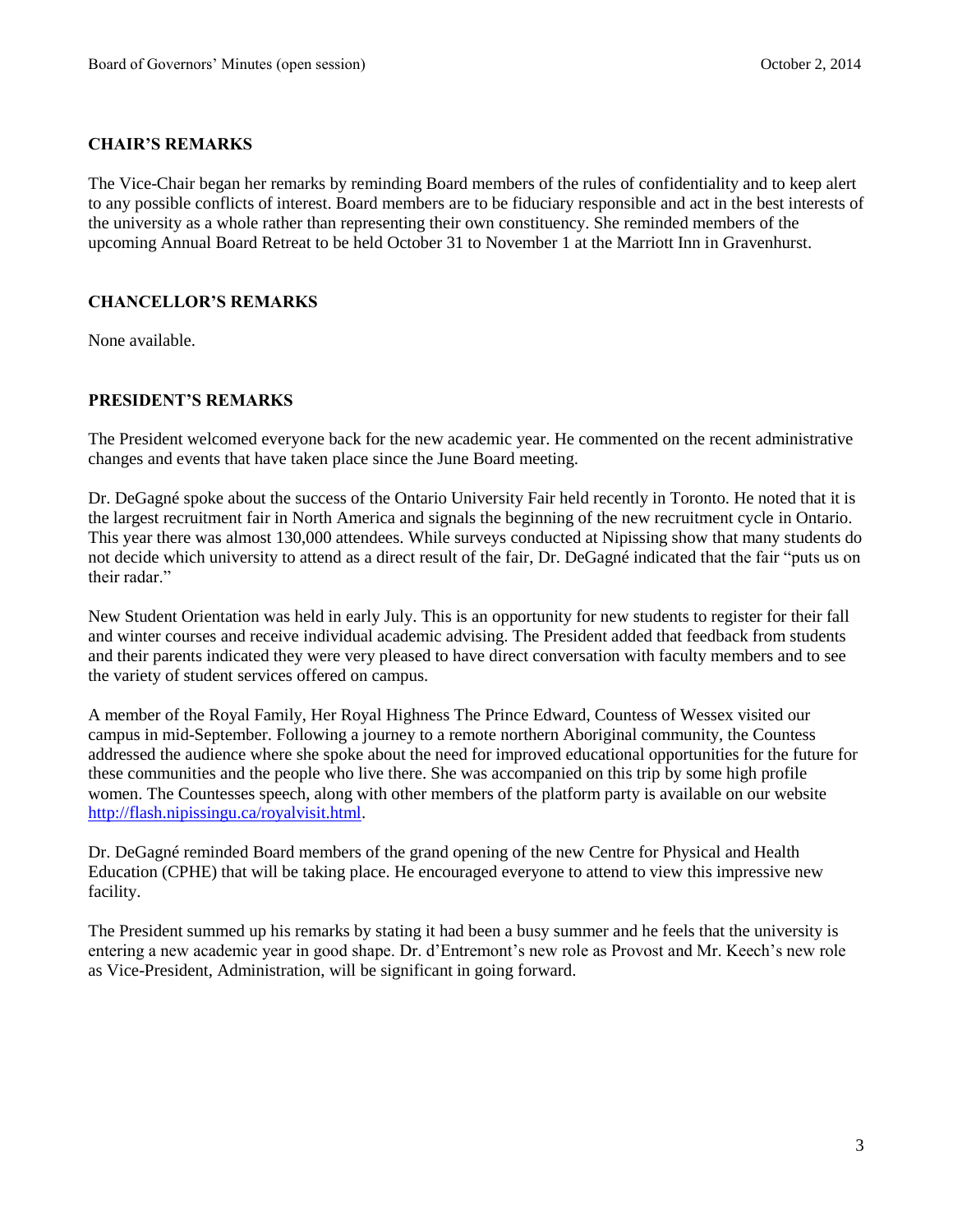## **CHAIR'S REMARKS**

The Vice-Chair began her remarks by reminding Board members of the rules of confidentiality and to keep alert to any possible conflicts of interest. Board members are to be fiduciary responsible and act in the best interests of the university as a whole rather than representing their own constituency. She reminded members of the upcoming Annual Board Retreat to be held October 31 to November 1 at the Marriott Inn in Gravenhurst.

## **CHANCELLOR'S REMARKS**

None available.

## **PRESIDENT'S REMARKS**

The President welcomed everyone back for the new academic year. He commented on the recent administrative changes and events that have taken place since the June Board meeting.

Dr. DeGagné spoke about the success of the Ontario University Fair held recently in Toronto. He noted that it is the largest recruitment fair in North America and signals the beginning of the new recruitment cycle in Ontario. This year there was almost 130,000 attendees. While surveys conducted at Nipissing show that many students do not decide which university to attend as a direct result of the fair, Dr. DeGagné indicated that the fair "puts us on their radar."

New Student Orientation was held in early July. This is an opportunity for new students to register for their fall and winter courses and receive individual academic advising. The President added that feedback from students and their parents indicated they were very pleased to have direct conversation with faculty members and to see the variety of student services offered on campus.

A member of the Royal Family, Her Royal Highness The Prince Edward, Countess of Wessex visited our campus in mid-September. Following a journey to a remote northern Aboriginal community, the Countess addressed the audience where she spoke about the need for improved educational opportunities for the future for these communities and the people who live there. She was accompanied on this trip by some high profile women. The Countesses speech, along with other members of the platform party is available on our website [http://flash.nipissingu.ca/royalvisit.html.](http://flash.nipissingu.ca/royalvisit.html)

Dr. DeGagné reminded Board members of the grand opening of the new Centre for Physical and Health Education (CPHE) that will be taking place. He encouraged everyone to attend to view this impressive new facility.

The President summed up his remarks by stating it had been a busy summer and he feels that the university is entering a new academic year in good shape. Dr. d'Entremont's new role as Provost and Mr. Keech's new role as Vice-President, Administration, will be significant in going forward.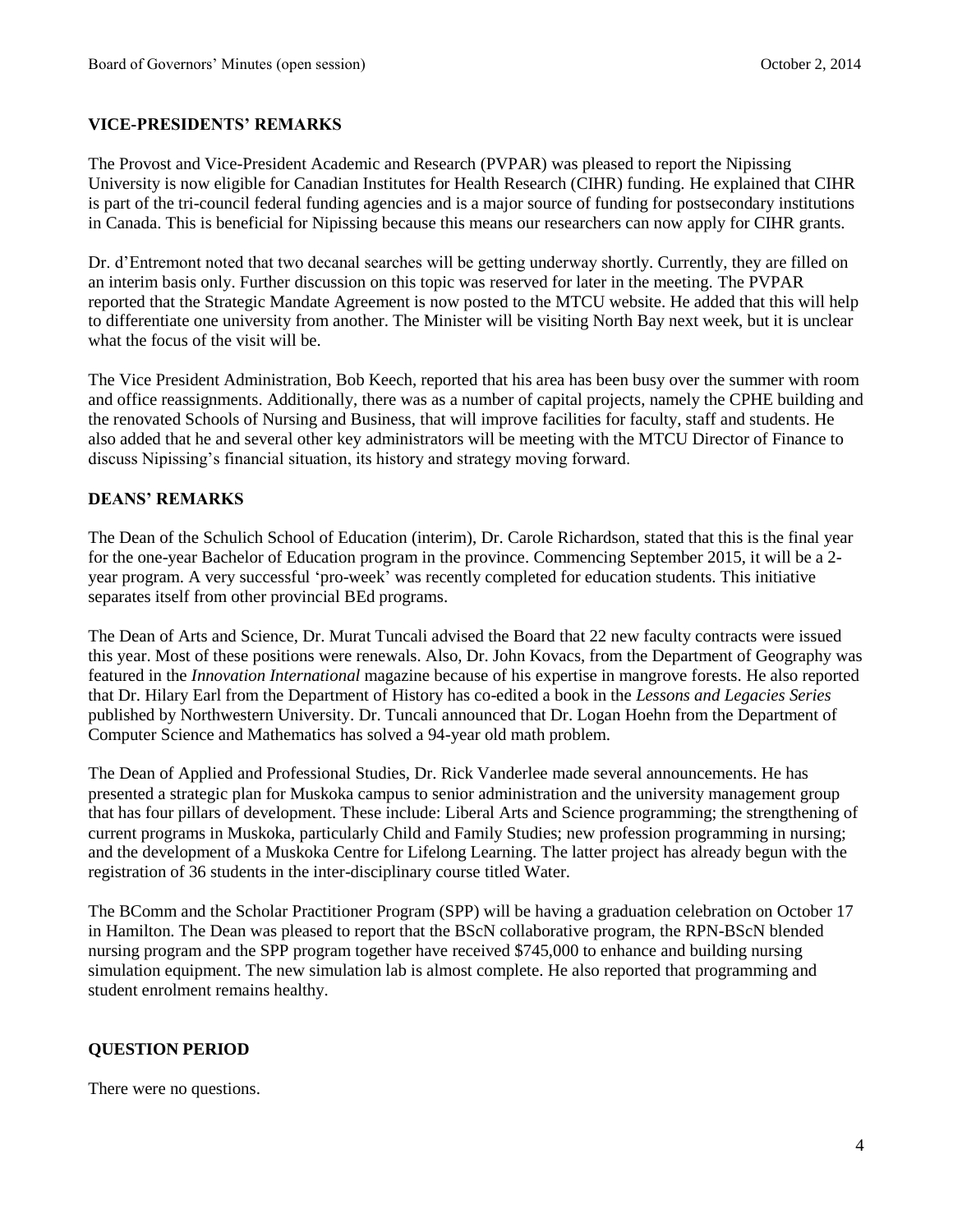# **VICE-PRESIDENTS' REMARKS**

The Provost and Vice-President Academic and Research (PVPAR) was pleased to report the Nipissing University is now eligible for Canadian Institutes for Health Research (CIHR) funding. He explained that CIHR is part of the tri-council federal funding agencies and is a major source of funding for postsecondary institutions in Canada. This is beneficial for Nipissing because this means our researchers can now apply for CIHR grants.

Dr. d'Entremont noted that two decanal searches will be getting underway shortly. Currently, they are filled on an interim basis only. Further discussion on this topic was reserved for later in the meeting. The PVPAR reported that the Strategic Mandate Agreement is now posted to the MTCU website. He added that this will help to differentiate one university from another. The Minister will be visiting North Bay next week, but it is unclear what the focus of the visit will be.

The Vice President Administration, Bob Keech, reported that his area has been busy over the summer with room and office reassignments. Additionally, there was as a number of capital projects, namely the CPHE building and the renovated Schools of Nursing and Business, that will improve facilities for faculty, staff and students. He also added that he and several other key administrators will be meeting with the MTCU Director of Finance to discuss Nipissing's financial situation, its history and strategy moving forward.

## **DEANS' REMARKS**

The Dean of the Schulich School of Education (interim), Dr. Carole Richardson, stated that this is the final year for the one-year Bachelor of Education program in the province. Commencing September 2015, it will be a 2 year program. A very successful 'pro-week' was recently completed for education students. This initiative separates itself from other provincial BEd programs.

The Dean of Arts and Science, Dr. Murat Tuncali advised the Board that 22 new faculty contracts were issued this year. Most of these positions were renewals. Also, Dr. John Kovacs, from the Department of Geography was featured in the *Innovation International* magazine because of his expertise in mangrove forests. He also reported that Dr. Hilary Earl from the Department of History has co-edited a book in the *Lessons and Legacies Series* published by Northwestern University. Dr. Tuncali announced that Dr. Logan Hoehn from the Department of Computer Science and Mathematics has solved a 94-year old math problem.

The Dean of Applied and Professional Studies, Dr. Rick Vanderlee made several announcements. He has presented a strategic plan for Muskoka campus to senior administration and the university management group that has four pillars of development. These include: Liberal Arts and Science programming; the strengthening of current programs in Muskoka, particularly Child and Family Studies; new profession programming in nursing; and the development of a Muskoka Centre for Lifelong Learning. The latter project has already begun with the registration of 36 students in the inter-disciplinary course titled Water.

The BComm and the Scholar Practitioner Program (SPP) will be having a graduation celebration on October 17 in Hamilton. The Dean was pleased to report that the BScN collaborative program, the RPN-BScN blended nursing program and the SPP program together have received \$745,000 to enhance and building nursing simulation equipment. The new simulation lab is almost complete. He also reported that programming and student enrolment remains healthy.

## **QUESTION PERIOD**

There were no questions.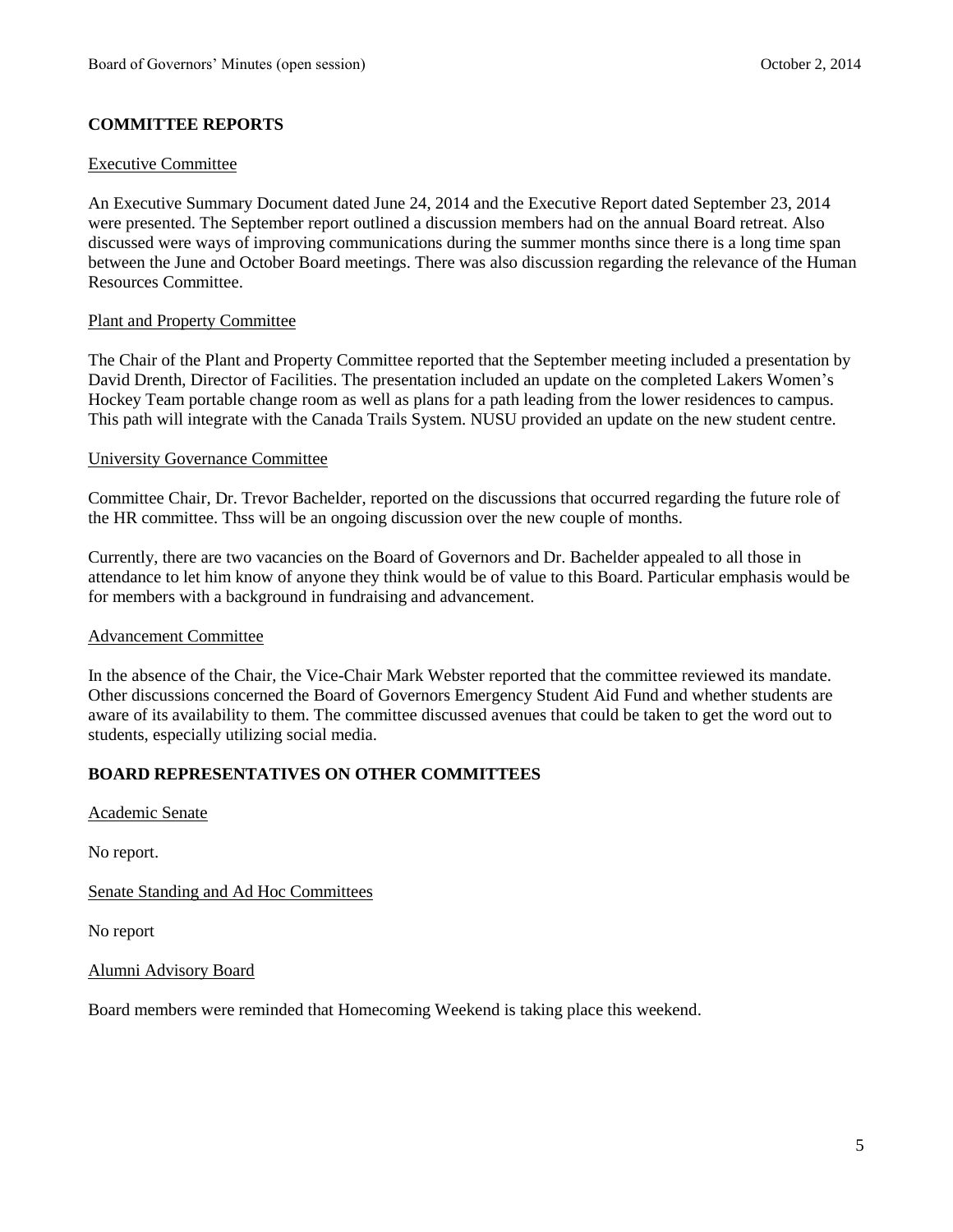# **COMMITTEE REPORTS**

### Executive Committee

An Executive Summary Document dated June 24, 2014 and the Executive Report dated September 23, 2014 were presented. The September report outlined a discussion members had on the annual Board retreat. Also discussed were ways of improving communications during the summer months since there is a long time span between the June and October Board meetings. There was also discussion regarding the relevance of the Human Resources Committee.

### Plant and Property Committee

The Chair of the Plant and Property Committee reported that the September meeting included a presentation by David Drenth, Director of Facilities. The presentation included an update on the completed Lakers Women's Hockey Team portable change room as well as plans for a path leading from the lower residences to campus. This path will integrate with the Canada Trails System. NUSU provided an update on the new student centre.

### University Governance Committee

Committee Chair, Dr. Trevor Bachelder, reported on the discussions that occurred regarding the future role of the HR committee. Thss will be an ongoing discussion over the new couple of months.

Currently, there are two vacancies on the Board of Governors and Dr. Bachelder appealed to all those in attendance to let him know of anyone they think would be of value to this Board. Particular emphasis would be for members with a background in fundraising and advancement.

#### Advancement Committee

In the absence of the Chair, the Vice-Chair Mark Webster reported that the committee reviewed its mandate. Other discussions concerned the Board of Governors Emergency Student Aid Fund and whether students are aware of its availability to them. The committee discussed avenues that could be taken to get the word out to students, especially utilizing social media.

## **BOARD REPRESENTATIVES ON OTHER COMMITTEES**

Academic Senate

No report.

Senate Standing and Ad Hoc Committees

No report

Alumni Advisory Board

Board members were reminded that Homecoming Weekend is taking place this weekend.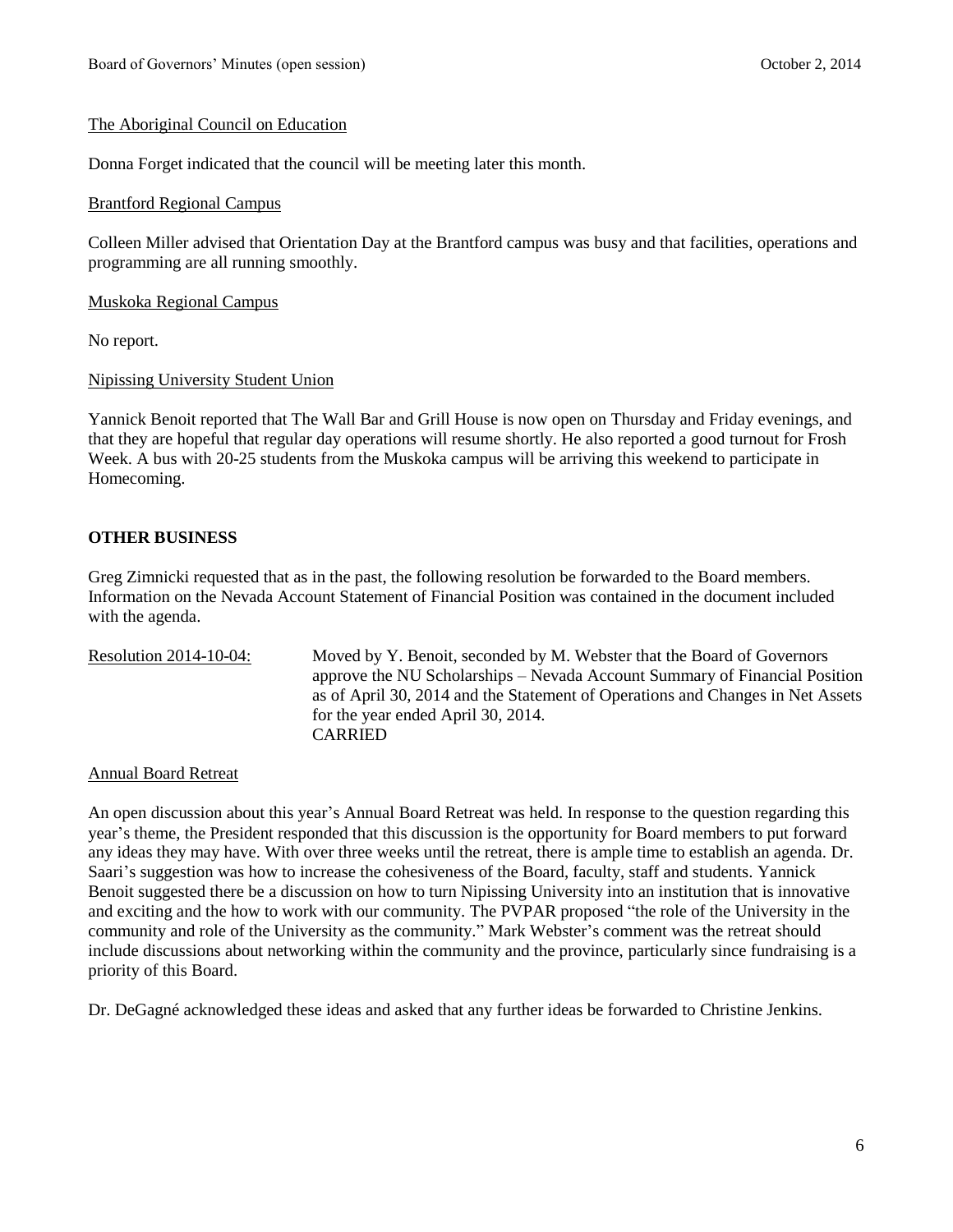### The Aboriginal Council on Education

Donna Forget indicated that the council will be meeting later this month.

#### Brantford Regional Campus

Colleen Miller advised that Orientation Day at the Brantford campus was busy and that facilities, operations and programming are all running smoothly.

Muskoka Regional Campus

No report.

Nipissing University Student Union

Yannick Benoit reported that The Wall Bar and Grill House is now open on Thursday and Friday evenings, and that they are hopeful that regular day operations will resume shortly. He also reported a good turnout for Frosh Week. A bus with 20-25 students from the Muskoka campus will be arriving this weekend to participate in Homecoming.

# **OTHER BUSINESS**

Greg Zimnicki requested that as in the past, the following resolution be forwarded to the Board members. Information on the Nevada Account Statement of Financial Position was contained in the document included with the agenda.

Resolution 2014-10-04: Moved by Y. Benoit, seconded by M. Webster that the Board of Governors approve the NU Scholarships – Nevada Account Summary of Financial Position as of April 30, 2014 and the Statement of Operations and Changes in Net Assets for the year ended April 30, 2014. CARRIED

Annual Board Retreat

An open discussion about this year's Annual Board Retreat was held. In response to the question regarding this year's theme, the President responded that this discussion is the opportunity for Board members to put forward any ideas they may have. With over three weeks until the retreat, there is ample time to establish an agenda. Dr. Saari's suggestion was how to increase the cohesiveness of the Board, faculty, staff and students. Yannick Benoit suggested there be a discussion on how to turn Nipissing University into an institution that is innovative and exciting and the how to work with our community. The PVPAR proposed "the role of the University in the community and role of the University as the community." Mark Webster's comment was the retreat should include discussions about networking within the community and the province, particularly since fundraising is a priority of this Board.

Dr. DeGagné acknowledged these ideas and asked that any further ideas be forwarded to Christine Jenkins.